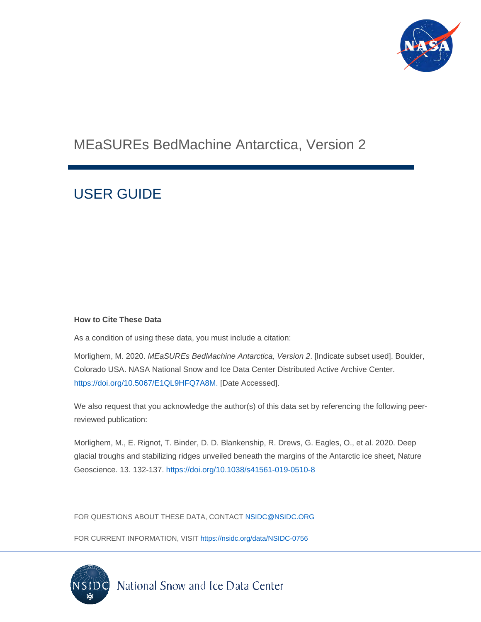

# MEaSUREs BedMachine Antarctica, Version 2

# USER GUIDE

#### **How to Cite These Data**

As a condition of using these data, you must include a citation:

Morlighem, M. 2020. *MEaSUREs BedMachine Antarctica, Version 2*. [Indicate subset used]. Boulder, Colorado USA. NASA National Snow and Ice Data Center Distributed Active Archive Center. [https://doi.org/10.5067/E1QL9HFQ7A8M.](https://doi.org/10.5067/E1QL9HFQ7A8M) [Date Accessed].

We also request that you acknowledge the author(s) of this data set by referencing the following peerreviewed publication:

Morlighem, M., E. Rignot, T. Binder, D. D. Blankenship, R. Drews, G. Eagles, O., et al. 2020. Deep glacial troughs and stabilizing ridges unveiled beneath the margins of the Antarctic ice sheet, Nature Geoscience. 13. 132-137.<https://doi.org/10.1038/s41561-019-0510-8>

FOR QUESTIONS ABOUT THESE DATA, CONTACT [NSIDC@NSIDC.ORG](mailto:nsidc@nsidc.org)

FOR CURRENT INFORMATION, VISIT<https://nsidc.org/data/NSIDC-0756>

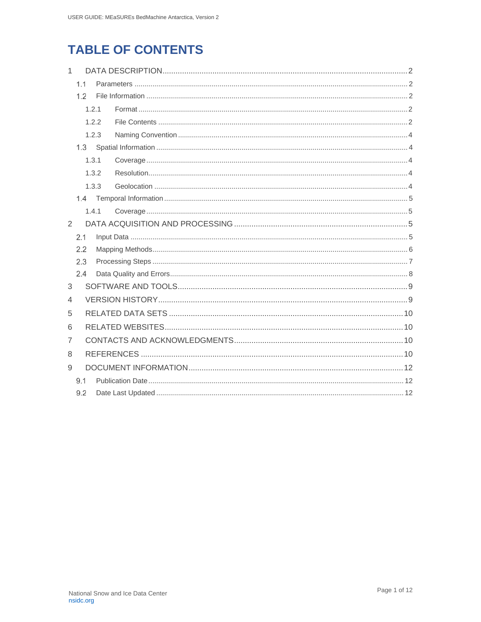## **TABLE OF CONTENTS**

| 1              |       |       |  |  |  |
|----------------|-------|-------|--|--|--|
|                | 1.1   |       |  |  |  |
|                | 1.2   |       |  |  |  |
|                |       | 1.2.1 |  |  |  |
|                | 1.2.2 |       |  |  |  |
|                | 1.2.3 |       |  |  |  |
| 1.3            |       |       |  |  |  |
| 1.3.1          |       |       |  |  |  |
|                |       | 1.3.2 |  |  |  |
|                |       | 1.3.3 |  |  |  |
|                |       |       |  |  |  |
|                |       | 1.4.1 |  |  |  |
| $\overline{2}$ |       |       |  |  |  |
|                | 2.1   |       |  |  |  |
|                | 2.2   |       |  |  |  |
|                | 2.3   |       |  |  |  |
| 2.4            |       |       |  |  |  |
| 3              |       |       |  |  |  |
| 4              |       |       |  |  |  |
| 5              |       |       |  |  |  |
| 6              |       |       |  |  |  |
| 7              |       |       |  |  |  |
| 8              |       |       |  |  |  |
| 9              |       |       |  |  |  |
|                |       |       |  |  |  |
|                | 9.2   |       |  |  |  |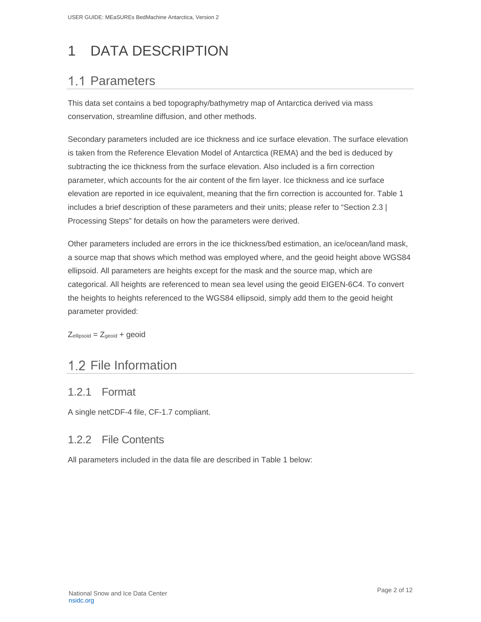# <span id="page-2-0"></span>1 DATA DESCRIPTION

## <span id="page-2-1"></span>1.1 Parameters

This data set contains a bed topography/bathymetry map of Antarctica derived via mass conservation, streamline diffusion, and other methods.

Secondary parameters included are ice thickness and ice surface elevation. The surface elevation is taken from the Reference Elevation Model of Antarctica (REMA) and the bed is deduced by subtracting the ice thickness from the surface elevation. Also included is a firn correction parameter, which accounts for the air content of the firn layer. Ice thickness and ice surface elevation are reported in ice equivalent, meaning that the firn correction is accounted for. [Table 1](#page-3-0) includes a brief description of these parameters and their units; please refer to "Section [2.3](#page-7-0) | Processing Steps" for details on how the parameters were derived.

Other parameters included are errors in the ice thickness/bed estimation, an ice/ocean/land mask, a source map that shows which method was employed where, and the geoid height above WGS84 ellipsoid. All parameters are heights except for the mask and the source map, which are categorical. All heights are referenced to mean sea level using the geoid EIGEN-6C4. To convert the heights to heights referenced to the WGS84 ellipsoid, simply add them to the geoid height parameter provided:

 $Z_{ellipsoid} = Z_{geoid} + geoid$ 

## <span id="page-2-2"></span>1.2 File Information

### <span id="page-2-3"></span>1.2.1 Format

A single netCDF-4 file, CF-1.7 compliant.

#### <span id="page-2-4"></span>1.2.2 File Contents

All parameters included in the data file are described in [Table 1](#page-3-0) below: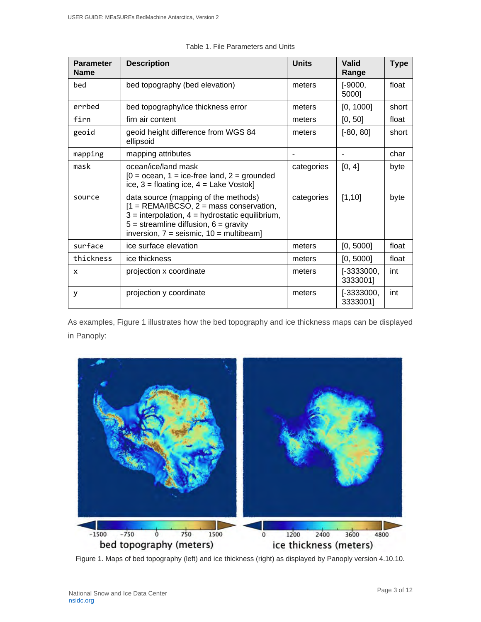<span id="page-3-0"></span>

| <b>Parameter</b><br><b>Name</b> | <b>Description</b>                                                                                                                                                                                                                   | <b>Units</b> | Valid<br>Range           | <b>Type</b> |
|---------------------------------|--------------------------------------------------------------------------------------------------------------------------------------------------------------------------------------------------------------------------------------|--------------|--------------------------|-------------|
| bed                             | bed topography (bed elevation)                                                                                                                                                                                                       | meters       | $[-9000,$<br>5000]       | float       |
| errbed                          | bed topography/ice thickness error                                                                                                                                                                                                   | meters       | [0, 1000]                | short       |
| firn                            | firn air content                                                                                                                                                                                                                     | meters       | [0, 50]                  | float       |
| geoid                           | geoid height difference from WGS 84<br>ellipsoid                                                                                                                                                                                     | meters       | $[-80, 80]$              | short       |
| mapping                         | mapping attributes                                                                                                                                                                                                                   |              |                          | char        |
| mask                            | ocean/ice/land mask<br>$[0 = \text{ocean}, 1 = \text{ice-free land}, 2 = \text{grounded}]$<br>ice, $3 =$ floating ice, $4 =$ Lake Vostok]                                                                                            | categories   | [0, 4]                   | byte        |
| source                          | data source (mapping of the methods)<br>$[1 = REMA/IBCSO, 2 = mass conservation,$<br>$3 =$ interpolation, $4 =$ hydrostatic equilibrium,<br>$5 =$ streamline diffusion, $6 =$ gravity<br>inversion, $7 =$ seismic, $10 =$ multibeam] | categories   | [1, 10]                  | byte        |
| surface                         | ice surface elevation                                                                                                                                                                                                                | meters       | [0, 5000]                | float       |
| thickness                       | ice thickness                                                                                                                                                                                                                        | meters       | [0, 5000]                | float       |
| X                               | projection x coordinate                                                                                                                                                                                                              | meters       | $[-3333000,$<br>3333001] | int         |
| у                               | projection y coordinate                                                                                                                                                                                                              | meters       | $[-3333000,$<br>3333001] | int         |

Table 1. File Parameters and Units

As examples, Figure 1 illustrates how the bed topography and ice thickness maps can be displayed in Panoply:



Figure 1. Maps of bed topography (left) and ice thickness (right) as displayed by Panoply version 4.10.10.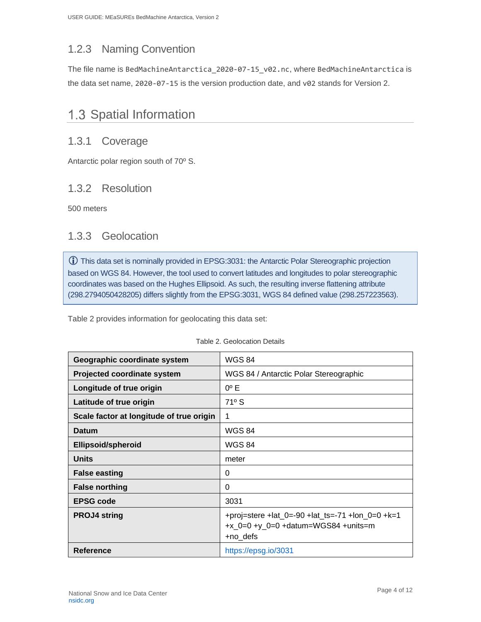### <span id="page-4-0"></span>1.2.3 Naming Convention

The file name is BedMachineAntarctica\_2020-07-15\_v02.nc, where BedMachineAntarctica is the data set name, 2020-07-15 is the version production date, and v02 stands for Version 2.

### <span id="page-4-1"></span>1.3 Spatial Information

### <span id="page-4-2"></span>1.3.1 Coverage

Antarctic polar region south of 70º S.

### <span id="page-4-3"></span>1.3.2 Resolution

500 meters

### <span id="page-4-4"></span>1.3.3 Geolocation

This data set is nominally provided in EPSG:3031: the Antarctic Polar Stereographic projection based on WGS 84. However, the tool used to convert latitudes and longitudes to polar stereographic coordinates was based on the Hughes Ellipsoid. As such, the resulting inverse flattening attribute (298.2794050428205) differs slightly from the EPSG:3031, WGS 84 defined value (298.257223563).

Table 2 provides information for geolocating this data set:

| Geographic coordinate system             | <b>WGS 84</b>                                                                                         |
|------------------------------------------|-------------------------------------------------------------------------------------------------------|
| Projected coordinate system              | WGS 84 / Antarctic Polar Stereographic                                                                |
| Longitude of true origin                 | $0^{\circ}$ E                                                                                         |
| Latitude of true origin                  | $71^{\circ}$ S                                                                                        |
| Scale factor at longitude of true origin | 1                                                                                                     |
| Datum                                    | <b>WGS 84</b>                                                                                         |
| <b>Ellipsoid/spheroid</b>                | <b>WGS 84</b>                                                                                         |
| <b>Units</b>                             | meter                                                                                                 |
| <b>False easting</b>                     | 0                                                                                                     |
| <b>False northing</b>                    | 0                                                                                                     |
| <b>EPSG code</b>                         | 3031                                                                                                  |
| <b>PROJ4 string</b>                      | +proj=stere +lat_0=-90 +lat_ts=-71 +lon_0=0 +k=1<br>$+x_0=0$ +y_0=0 +datum=WGS84 +units=m<br>+no_defs |
| <b>Reference</b>                         | https://epsg.io/3031                                                                                  |

|  | Table 2. Geolocation Details |  |
|--|------------------------------|--|
|--|------------------------------|--|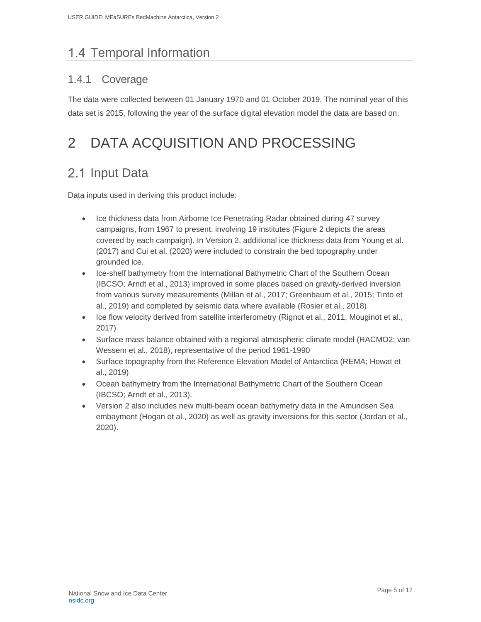# <span id="page-5-0"></span>1.4 Temporal Information

### <span id="page-5-1"></span>1.4.1 Coverage

The data were collected between 01 January 1970 and 01 October 2019. The nominal year of this data set is 2015, following the year of the surface digital elevation model the data are based on.

# <span id="page-5-2"></span>2 DATA ACQUISITION AND PROCESSING

## <span id="page-5-3"></span>2.1 Input Data

Data inputs used in deriving this product include:

- Ice thickness data from Airborne Ice Penetrating Radar obtained during 47 survey campaigns, from 1967 to present, involving 19 institutes [\(Figure 2](#page-6-1) depicts the areas covered by each campaign). In Version 2, additional ice thickness data from Young et al. (2017) and Cui et al. (2020) were included to constrain the bed topography under grounded ice.
- Ice-shelf bathymetry from the International Bathymetric Chart of the Southern Ocean (IBCSO; Arndt et al., 2013) improved in some places based on gravity-derived inversion from various survey measurements (Millan et al., 2017; Greenbaum et al., 2015; Tinto et al., 2019) and completed by seismic data where available (Rosier et al., 2018)
- Ice flow velocity derived from satellite interferometry (Rignot et al., 2011; Mouginot et al., 2017)
- Surface mass balance obtained with a regional atmospheric climate model (RACMO2; van Wessem et al., 2018), representative of the period 1961-1990
- Surface topography from the Reference Elevation Model of Antarctica (REMA; Howat et al., 2019)
- Ocean bathymetry from the International Bathymetric Chart of the Southern Ocean (IBCSO; Arndt et al., 2013).
- Version 2 also includes new multi-beam ocean bathymetry data in the Amundsen Sea embayment (Hogan et al., 2020) as well as gravity inversions for this sector (Jordan et al., 2020).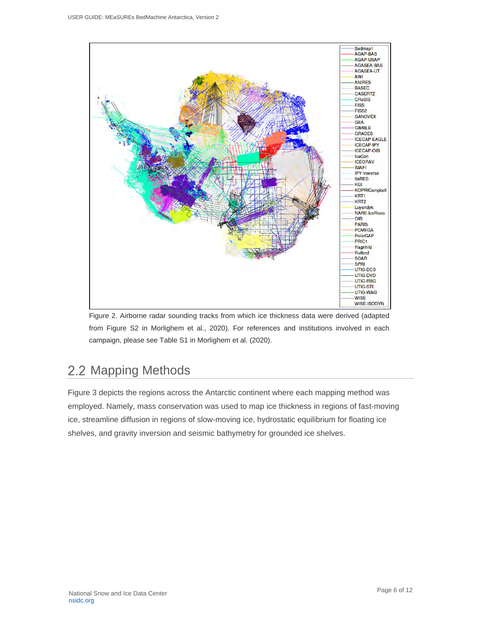

<span id="page-6-1"></span>Figure 2. Airborne radar sounding tracks from which ice thickness data were derived (adapted from Figure S2 in Morlighem et al., 2020). For references and institutions involved in each campaign, please see Table S1 in Morlighem et al. (2020).

# <span id="page-6-0"></span>2.2 Mapping Methods

[Figure 3](#page-7-1) depicts the regions across the Antarctic continent where each mapping method was employed. Namely, mass conservation was used to map ice thickness in regions of fast-moving ice, streamline diffusion in regions of slow-moving ice, hydrostatic equilibrium for floating ice shelves, and gravity inversion and seismic bathymetry for grounded ice shelves.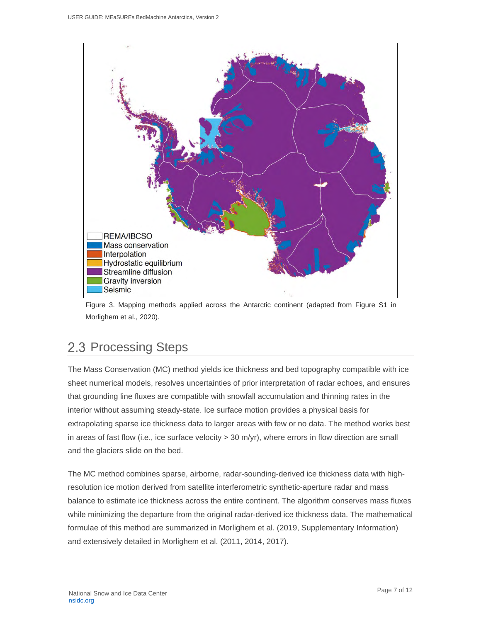

<span id="page-7-1"></span>Figure 3. Mapping methods applied across the Antarctic continent (adapted from Figure S1 in Morlighem et al., 2020).

## <span id="page-7-0"></span>2.3 Processing Steps

The Mass Conservation (MC) method yields ice thickness and bed topography compatible with ice sheet numerical models, resolves uncertainties of prior interpretation of radar echoes, and ensures that grounding line fluxes are compatible with snowfall accumulation and thinning rates in the interior without assuming steady-state. Ice surface motion provides a physical basis for extrapolating sparse ice thickness data to larger areas with few or no data. The method works best in areas of fast flow (i.e., ice surface velocity > 30 m/yr), where errors in flow direction are small and the glaciers slide on the bed.

The MC method combines sparse, airborne, radar-sounding-derived ice thickness data with highresolution ice motion derived from satellite interferometric synthetic-aperture radar and mass balance to estimate ice thickness across the entire continent. The algorithm conserves mass fluxes while minimizing the departure from the original radar-derived ice thickness data. The mathematical formulae of this method are summarized in Morlighem et al. (2019, Supplementary Information) and extensively detailed in Morlighem et al. (2011, 2014, 2017).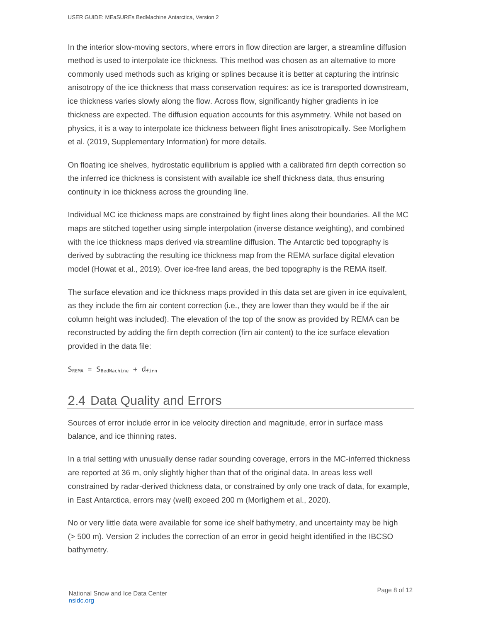In the interior slow-moving sectors, where errors in flow direction are larger, a streamline diffusion method is used to interpolate ice thickness. This method was chosen as an alternative to more commonly used methods such as kriging or splines because it is better at capturing the intrinsic anisotropy of the ice thickness that mass conservation requires: as ice is transported downstream, ice thickness varies slowly along the flow. Across flow, significantly higher gradients in ice thickness are expected. The diffusion equation accounts for this asymmetry. While not based on physics, it is a way to interpolate ice thickness between flight lines anisotropically. See Morlighem et al. (2019, Supplementary Information) for more details.

On floating ice shelves, hydrostatic equilibrium is applied with a calibrated firn depth correction so the inferred ice thickness is consistent with available ice shelf thickness data, thus ensuring continuity in ice thickness across the grounding line.

Individual MC ice thickness maps are constrained by flight lines along their boundaries. All the MC maps are stitched together using simple interpolation (inverse distance weighting), and combined with the ice thickness maps derived via streamline diffusion. The Antarctic bed topography is derived by subtracting the resulting ice thickness map from the REMA surface digital elevation model (Howat et al., 2019). Over ice-free land areas, the bed topography is the REMA itself.

The surface elevation and ice thickness maps provided in this data set are given in ice equivalent, as they include the firn air content correction (i.e., they are lower than they would be if the air column height was included). The elevation of the top of the snow as provided by REMA can be reconstructed by adding the firn depth correction (firn air content) to the ice surface elevation provided in the data file:

 $S_{REMA} = S_{BedMachine} + d_{finn}$ 

## <span id="page-8-0"></span>2.4 Data Quality and Errors

Sources of error include error in ice velocity direction and magnitude, error in surface mass balance, and ice thinning rates.

In a trial setting with unusually dense radar sounding coverage, errors in the MC-inferred thickness are reported at 36 m, only slightly higher than that of the original data. In areas less well constrained by radar-derived thickness data, or constrained by only one track of data, for example, in East Antarctica, errors may (well) exceed 200 m (Morlighem et al., 2020).

No or very little data were available for some ice shelf bathymetry, and uncertainty may be high (> 500 m). Version 2 includes the correction of an error in geoid height identified in the IBCSO bathymetry.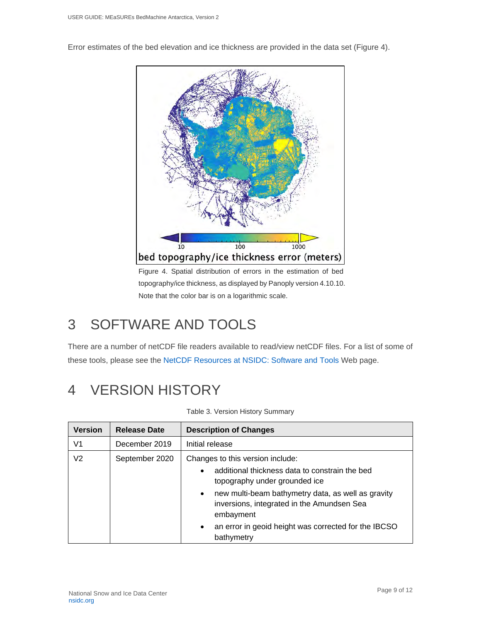Error estimates of the bed elevation and ice thickness are provided in the data set (Figure 4).



Figure 4. Spatial distribution of errors in the estimation of bed topography/ice thickness, as displayed by Panoply version 4.10.10. Note that the color bar is on a logarithmic scale.

# <span id="page-9-0"></span>3 SOFTWARE AND TOOLS

There are a number of netCDF file readers available to read/view netCDF files. For a list of some of these tools, please see the [NetCDF Resources at NSIDC: Software and Tools](https://nsidc.org/support/faq/what-netcdf) Web page.

# <span id="page-9-1"></span>4 VERSION HISTORY

| <b>Version</b> | <b>Release Date</b> | <b>Description of Changes</b>                                                                                                                                                                                                                                                                                                        |
|----------------|---------------------|--------------------------------------------------------------------------------------------------------------------------------------------------------------------------------------------------------------------------------------------------------------------------------------------------------------------------------------|
| V <sub>1</sub> | December 2019       | Initial release                                                                                                                                                                                                                                                                                                                      |
| V2             | September 2020      | Changes to this version include:<br>additional thickness data to constrain the bed<br>topography under grounded ice<br>new multi-beam bathymetry data, as well as gravity<br>$\bullet$<br>inversions, integrated in the Amundsen Sea<br>embayment<br>an error in geoid height was corrected for the IBCSO<br>$\bullet$<br>bathymetry |

Table 3. Version History Summary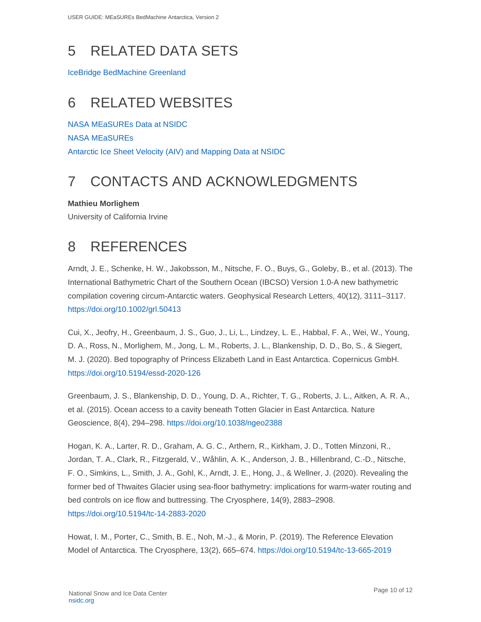# <span id="page-10-0"></span>5 RELATED DATA SETS

[IceBridge BedMachine Greenland](https://nsidc.org/data/idbmg4)

# <span id="page-10-1"></span>6 RELATED WEBSITES

[NASA MEaSUREs Data at NSIDC](https://nsidc.org/data/measures) [NASA MEaSUREs](https://earthdata.nasa.gov/esds/competitive-programs/measures) [Antarctic Ice Sheet Velocity \(AIV\) and Mapping Data at NSIDC](https://nsidc.org/data/measures/aiv)

# <span id="page-10-2"></span>7 CONTACTS AND ACKNOWLEDGMENTS

**Mathieu Morlighem**

University of California Irvine

# <span id="page-10-3"></span>8 REFERENCES

Arndt, J. E., Schenke, H. W., Jakobsson, M., Nitsche, F. O., Buys, G., Goleby, B., et al. (2013). The International Bathymetric Chart of the Southern Ocean (IBCSO) Version 1.0-A new bathymetric compilation covering circum-Antarctic waters. Geophysical Research Letters, 40(12), 3111–3117. <https://doi.org/10.1002/grl.50413>

Cui, X., Jeofry, H., Greenbaum, J. S., Guo, J., Li, L., Lindzey, L. E., Habbal, F. A., Wei, W., Young, D. A., Ross, N., Morlighem, M., Jong, L. M., Roberts, J. L., Blankenship, D. D., Bo, S., & Siegert, M. J. (2020). Bed topography of Princess Elizabeth Land in East Antarctica. Copernicus GmbH. <https://doi.org/10.5194/essd-2020-126>

Greenbaum, J. S., Blankenship, D. D., Young, D. A., Richter, T. G., Roberts, J. L., Aitken, A. R. A., et al. (2015). Ocean access to a cavity beneath Totten Glacier in East Antarctica. Nature Geoscience, 8(4), 294–298.<https://doi.org/10.1038/ngeo2388>

Hogan, K. A., Larter, R. D., Graham, A. G. C., Arthern, R., Kirkham, J. D., Totten Minzoni, R., Jordan, T. A., Clark, R., Fitzgerald, V., Wåhlin, A. K., Anderson, J. B., Hillenbrand, C.-D., Nitsche, F. O., Simkins, L., Smith, J. A., Gohl, K., Arndt, J. E., Hong, J., & Wellner, J. (2020). Revealing the former bed of Thwaites Glacier using sea-floor bathymetry: implications for warm-water routing and bed controls on ice flow and buttressing. The Cryosphere, 14(9), 2883–2908. <https://doi.org/10.5194/tc-14-2883-2020>

Howat, I. M., Porter, C., Smith, B. E., Noh, M.-J., & Morin, P. (2019). The Reference Elevation Model of Antarctica. The Cryosphere, 13(2), 665–674.<https://doi.org/10.5194/tc-13-665-2019>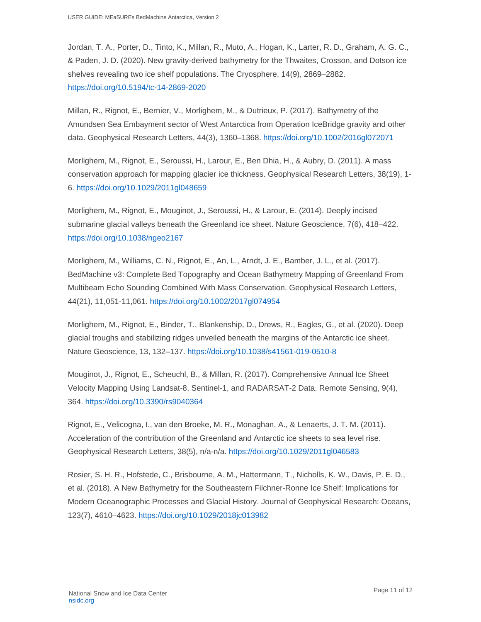Jordan, T. A., Porter, D., Tinto, K., Millan, R., Muto, A., Hogan, K., Larter, R. D., Graham, A. G. C., & Paden, J. D. (2020). New gravity-derived bathymetry for the Thwaites, Crosson, and Dotson ice shelves revealing two ice shelf populations. The Cryosphere, 14(9), 2869–2882. <https://doi.org/10.5194/tc-14-2869-2020>

Millan, R., Rignot, E., Bernier, V., Morlighem, M., & Dutrieux, P. (2017). Bathymetry of the Amundsen Sea Embayment sector of West Antarctica from Operation IceBridge gravity and other data. Geophysical Research Letters, 44(3), 1360–1368.<https://doi.org/10.1002/2016gl072071>

Morlighem, M., Rignot, E., Seroussi, H., Larour, E., Ben Dhia, H., & Aubry, D. (2011). A mass conservation approach for mapping glacier ice thickness. Geophysical Research Letters, 38(19), 1- 6.<https://doi.org/10.1029/2011gl048659>

Morlighem, M., Rignot, E., Mouginot, J., Seroussi, H., & Larour, E. (2014). Deeply incised submarine glacial valleys beneath the Greenland ice sheet. Nature Geoscience, 7(6), 418–422. <https://doi.org/10.1038/ngeo2167>

Morlighem, M., Williams, C. N., Rignot, E., An, L., Arndt, J. E., Bamber, J. L., et al. (2017). BedMachine v3: Complete Bed Topography and Ocean Bathymetry Mapping of Greenland From Multibeam Echo Sounding Combined With Mass Conservation. Geophysical Research Letters, 44(21), 11,051-11,061.<https://doi.org/10.1002/2017gl074954>

Morlighem, M., Rignot, E., Binder, T., Blankenship, D., Drews, R., Eagles, G., et al. (2020). Deep glacial troughs and stabilizing ridges unveiled beneath the margins of the Antarctic ice sheet. Nature Geoscience, 13, 132–137.<https://doi.org/10.1038/s41561-019-0510-8>

Mouginot, J., Rignot, E., Scheuchl, B., & Millan, R. (2017). Comprehensive Annual Ice Sheet Velocity Mapping Using Landsat-8, Sentinel-1, and RADARSAT-2 Data. Remote Sensing, 9(4), 364.<https://doi.org/10.3390/rs9040364>

Rignot, E., Velicogna, I., van den Broeke, M. R., Monaghan, A., & Lenaerts, J. T. M. (2011). Acceleration of the contribution of the Greenland and Antarctic ice sheets to sea level rise. Geophysical Research Letters, 38(5), n/a-n/a.<https://doi.org/10.1029/2011gl046583>

Rosier, S. H. R., Hofstede, C., Brisbourne, A. M., Hattermann, T., Nicholls, K. W., Davis, P. E. D., et al. (2018). A New Bathymetry for the Southeastern Filchner-Ronne Ice Shelf: Implications for Modern Oceanographic Processes and Glacial History. Journal of Geophysical Research: Oceans, 123(7), 4610–4623.<https://doi.org/10.1029/2018jc013982>